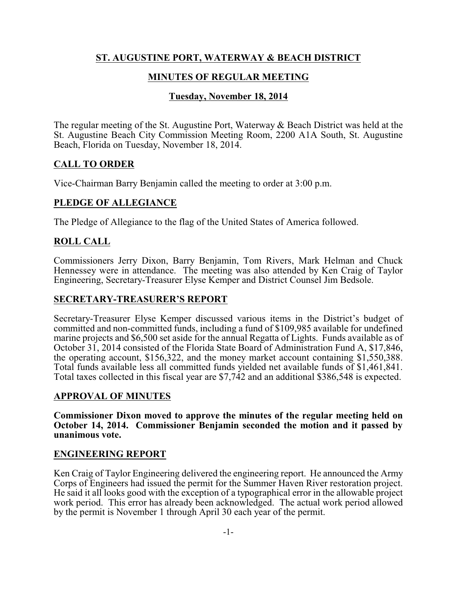# **ST. AUGUSTINE PORT, WATERWAY & BEACH DISTRICT**

# **MINUTES OF REGULAR MEETING**

# **Tuesday, November 18, 2014**

The regular meeting of the St. Augustine Port, Waterway & Beach District was held at the St. Augustine Beach City Commission Meeting Room, 2200 A1A South, St. Augustine Beach, Florida on Tuesday, November 18, 2014.

### **CALL TO ORDER**

Vice-Chairman Barry Benjamin called the meeting to order at 3:00 p.m.

# **PLEDGE OF ALLEGIANCE**

The Pledge of Allegiance to the flag of the United States of America followed.

### **ROLL CALL**

Commissioners Jerry Dixon, Barry Benjamin, Tom Rivers, Mark Helman and Chuck Hennessey were in attendance. The meeting was also attended by Ken Craig of Taylor Engineering, Secretary-Treasurer Elyse Kemper and District Counsel Jim Bedsole.

#### **SECRETARY-TREASURER'S REPORT**

Secretary-Treasurer Elyse Kemper discussed various items in the District's budget of committed and non-committed funds, including a fund of \$109,985 available for undefined marine projects and \$6,500 set aside for the annual Regatta of Lights. Funds available as of October 31, 2014 consisted of the Florida State Board of Administration Fund A, \$17,846, the operating account, \$156,322, and the money market account containing \$1,550,388. Total funds available less all committed funds yielded net available funds of \$1,461,841. Total taxes collected in this fiscal year are \$7,742 and an additional \$386,548 is expected.

#### **APPROVAL OF MINUTES**

**Commissioner Dixon moved to approve the minutes of the regular meeting held on October 14, 2014. Commissioner Benjamin seconded the motion and it passed by unanimous vote.** 

#### **ENGINEERING REPORT**

Ken Craig of Taylor Engineering delivered the engineering report. He announced the Army Corps of Engineers had issued the permit for the Summer Haven River restoration project. He said it all looks good with the exception of a typographical error in the allowable project work period. This error has already been acknowledged. The actual work period allowed by the permit is November 1 through April 30 each year of the permit.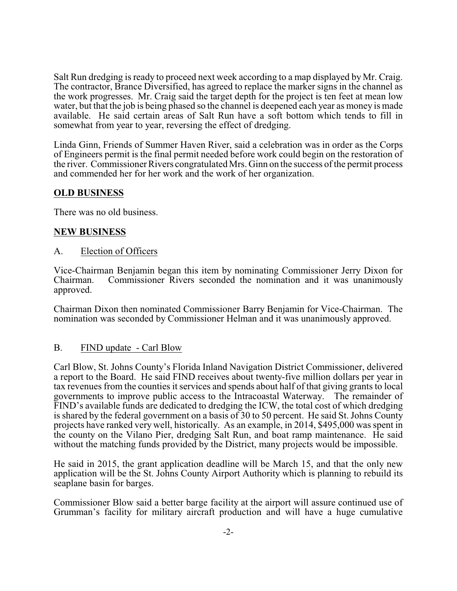Salt Run dredging is ready to proceed next week according to a map displayed by Mr. Craig. The contractor, Brance Diversified, has agreed to replace the marker signs in the channel as the work progresses. Mr. Craig said the target depth for the project is ten feet at mean low water, but that the job is being phased so the channel is deepened each year as money is made available. He said certain areas of Salt Run have a soft bottom which tends to fill in somewhat from year to year, reversing the effect of dredging.

Linda Ginn, Friends of Summer Haven River, said a celebration was in order as the Corps of Engineers permit is the final permit needed before work could begin on the restoration of the river. Commissioner Rivers congratulated Mrs. Ginn on the success of the permit process and commended her for her work and the work of her organization.

# **OLD BUSINESS**

There was no old business.

### **NEW BUSINESS**

#### A. Election of Officers

Vice-Chairman Benjamin began this item by nominating Commissioner Jerry Dixon for Commissioner Rivers seconded the nomination and it was unanimously approved.

Chairman Dixon then nominated Commissioner Barry Benjamin for Vice-Chairman. The nomination was seconded by Commissioner Helman and it was unanimously approved.

#### B. FIND update - Carl Blow

Carl Blow, St. Johns County's Florida Inland Navigation District Commissioner, delivered a report to the Board. He said FIND receives about twenty-five million dollars per year in tax revenues from the counties it services and spends about half of that giving grants to local governments to improve public access to the Intracoastal Waterway. The remainder of FIND's available funds are dedicated to dredging the ICW, the total cost of which dredging is shared by the federal government on a basis of 30 to 50 percent. He said St. Johns County projects have ranked very well, historically. As an example, in 2014, \$495,000 was spent in the county on the Vilano Pier, dredging Salt Run, and boat ramp maintenance. He said without the matching funds provided by the District, many projects would be impossible.

He said in 2015, the grant application deadline will be March 15, and that the only new application will be the St. Johns County Airport Authority which is planning to rebuild its seaplane basin for barges.

Commissioner Blow said a better barge facility at the airport will assure continued use of Grumman's facility for military aircraft production and will have a huge cumulative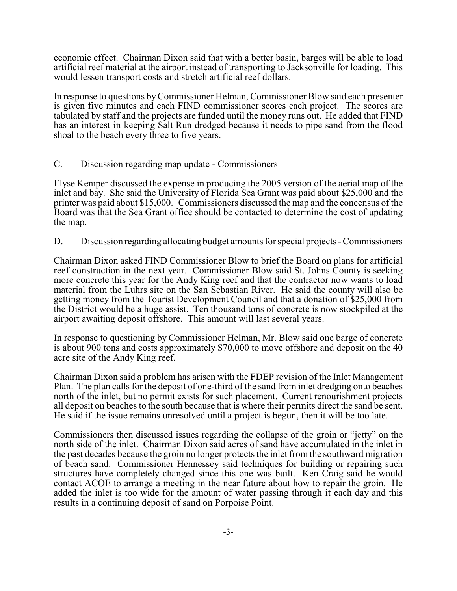economic effect. Chairman Dixon said that with a better basin, barges will be able to load artificial reef material at the airport instead of transporting to Jacksonville for loading. This would lessen transport costs and stretch artificial reef dollars.

In response to questions byCommissioner Helman, Commissioner Blow said each presenter is given five minutes and each FIND commissioner scores each project. The scores are tabulated by staff and the projects are funded until the money runs out. He added that FIND has an interest in keeping Salt Run dredged because it needs to pipe sand from the flood shoal to the beach every three to five years.

#### C. Discussion regarding map update - Commissioners

Elyse Kemper discussed the expense in producing the 2005 version of the aerial map of the inlet and bay. She said the University of Florida Sea Grant was paid about \$25,000 and the printer was paid about \$15,000. Commissioners discussed the map and the concensus of the Board was that the Sea Grant office should be contacted to determine the cost of updating the map.

#### D. Discussion regarding allocating budget amounts for special projects - Commissioners

Chairman Dixon asked FIND Commissioner Blow to brief the Board on plans for artificial reef construction in the next year. Commissioner Blow said St. Johns County is seeking more concrete this year for the Andy King reef and that the contractor now wants to load material from the Luhrs site on the San Sebastian River. He said the county will also be getting money from the Tourist Development Council and that a donation of \$25,000 from the District would be a huge assist. Ten thousand tons of concrete is now stockpiled at the airport awaiting deposit offshore. This amount will last several years.

In response to questioning by Commissioner Helman, Mr. Blow said one barge of concrete is about 900 tons and costs approximately \$70,000 to move offshore and deposit on the 40 acre site of the Andy King reef.

Chairman Dixon said a problem has arisen with the FDEP revision of the Inlet Management Plan. The plan calls for the deposit of one-third of the sand from inlet dredging onto beaches north of the inlet, but no permit exists for such placement. Current renourishment projects all deposit on beaches to the south because that is where their permits direct the sand be sent. He said if the issue remains unresolved until a project is begun, then it will be too late.

Commissioners then discussed issues regarding the collapse of the groin or "jetty" on the north side of the inlet. Chairman Dixon said acres of sand have accumulated in the inlet in the past decades because the groin no longer protects the inlet from the southward migration of beach sand. Commissioner Hennessey said techniques for building or repairing such structures have completely changed since this one was built. Ken Craig said he would contact ACOE to arrange a meeting in the near future about how to repair the groin. He added the inlet is too wide for the amount of water passing through it each day and this results in a continuing deposit of sand on Porpoise Point.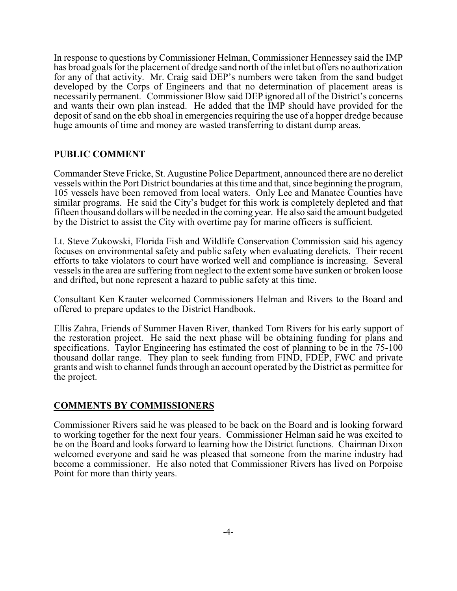In response to questions by Commissioner Helman, Commissioner Hennessey said the IMP has broad goals for the placement of dredge sand north of the inlet but offers no authorization for any of that activity. Mr. Craig said DEP's numbers were taken from the sand budget developed by the Corps of Engineers and that no determination of placement areas is necessarily permanent. Commissioner Blow said DEP ignored all of the District's concerns and wants their own plan instead. He added that the IMP should have provided for the deposit of sand on the ebb shoal in emergencies requiring the use of a hopper dredge because huge amounts of time and money are wasted transferring to distant dump areas.

# **PUBLIC COMMENT**

Commander Steve Fricke, St. Augustine Police Department, announced there are no derelict vessels within the Port District boundaries at this time and that, since beginning the program, 105 vessels have been removed from local waters. Only Lee and Manatee Counties have similar programs. He said the City's budget for this work is completely depleted and that fifteen thousand dollars will be needed in the coming year. He also said the amount budgeted by the District to assist the City with overtime pay for marine officers is sufficient.

Lt. Steve Zukowski, Florida Fish and Wildlife Conservation Commission said his agency focuses on environmental safety and public safety when evaluating derelicts. Their recent efforts to take violators to court have worked well and compliance is increasing. Several vessels in the area are suffering from neglect to the extent some have sunken or broken loose and drifted, but none represent a hazard to public safety at this time.

Consultant Ken Krauter welcomed Commissioners Helman and Rivers to the Board and offered to prepare updates to the District Handbook.

Ellis Zahra, Friends of Summer Haven River, thanked Tom Rivers for his early support of the restoration project. He said the next phase will be obtaining funding for plans and specifications. Taylor Engineering has estimated the cost of planning to be in the 75-100 thousand dollar range. They plan to seek funding from FIND, FDEP, FWC and private grants and wish to channel funds through an account operated by the District as permittee for the project.

# **COMMENTS BY COMMISSIONERS**

Commissioner Rivers said he was pleased to be back on the Board and is looking forward to working together for the next four years. Commissioner Helman said he was excited to be on the Board and looks forward to learning how the District functions. Chairman Dixon welcomed everyone and said he was pleased that someone from the marine industry had become a commissioner. He also noted that Commissioner Rivers has lived on Porpoise Point for more than thirty years.